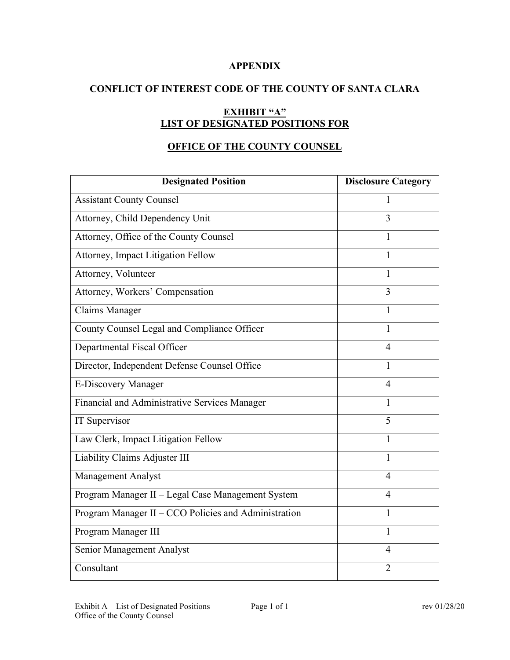### **APPENDIX**

## **CONFLICT OF INTEREST CODE OF THE COUNTY OF SANTA CLARA**

# **EXHIBIT "A" LIST OF DESIGNATED POSITIONS FOR**

## **OFFICE OF THE COUNTY COUNSEL**

| <b>Designated Position</b>                           | <b>Disclosure Category</b> |
|------------------------------------------------------|----------------------------|
| <b>Assistant County Counsel</b>                      | 1                          |
| Attorney, Child Dependency Unit                      | 3                          |
| Attorney, Office of the County Counsel               | 1                          |
| Attorney, Impact Litigation Fellow                   | 1                          |
| Attorney, Volunteer                                  | 1                          |
| Attorney, Workers' Compensation                      | $\overline{3}$             |
| Claims Manager                                       | 1                          |
| County Counsel Legal and Compliance Officer          | $\mathbf{1}$               |
| Departmental Fiscal Officer                          | 4                          |
| Director, Independent Defense Counsel Office         | 1                          |
| <b>E-Discovery Manager</b>                           | $\overline{4}$             |
| Financial and Administrative Services Manager        | 1                          |
| IT Supervisor                                        | 5                          |
| Law Clerk, Impact Litigation Fellow                  | 1                          |
| Liability Claims Adjuster III                        | 1                          |
| <b>Management Analyst</b>                            | 4                          |
| Program Manager II - Legal Case Management System    | 4                          |
| Program Manager II - CCO Policies and Administration | 1                          |
| Program Manager III                                  | 1                          |
| Senior Management Analyst                            | 4                          |
| Consultant                                           | $\overline{2}$             |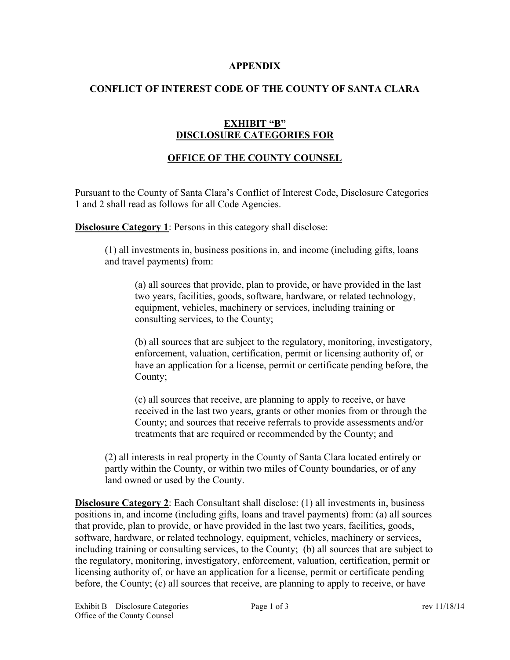#### **APPENDIX**

## **CONFLICT OF INTEREST CODE OF THE COUNTY OF SANTA CLARA**

### **EXHIBIT "B" DISCLOSURE CATEGORIES FOR**

# **OFFICE OF THE COUNTY COUNSEL**

Pursuant to the County of Santa Clara's Conflict of Interest Code, Disclosure Categories 1 and 2 shall read as follows for all Code Agencies.

**Disclosure Category 1**: Persons in this category shall disclose:

(1) all investments in, business positions in, and income (including gifts, loans and travel payments) from:

(a) all sources that provide, plan to provide, or have provided in the last two years, facilities, goods, software, hardware, or related technology, equipment, vehicles, machinery or services, including training or consulting services, to the County;

(b) all sources that are subject to the regulatory, monitoring, investigatory, enforcement, valuation, certification, permit or licensing authority of, or have an application for a license, permit or certificate pending before, the County;

(c) all sources that receive, are planning to apply to receive, or have received in the last two years, grants or other monies from or through the County; and sources that receive referrals to provide assessments and/or treatments that are required or recommended by the County; and

(2) all interests in real property in the County of Santa Clara located entirely or partly within the County, or within two miles of County boundaries, or of any land owned or used by the County.

**Disclosure Category 2**: Each Consultant shall disclose: (1) all investments in, business positions in, and income (including gifts, loans and travel payments) from: (a) all sources that provide, plan to provide, or have provided in the last two years, facilities, goods, software, hardware, or related technology, equipment, vehicles, machinery or services, including training or consulting services, to the County; (b) all sources that are subject to the regulatory, monitoring, investigatory, enforcement, valuation, certification, permit or licensing authority of, or have an application for a license, permit or certificate pending before, the County; (c) all sources that receive, are planning to apply to receive, or have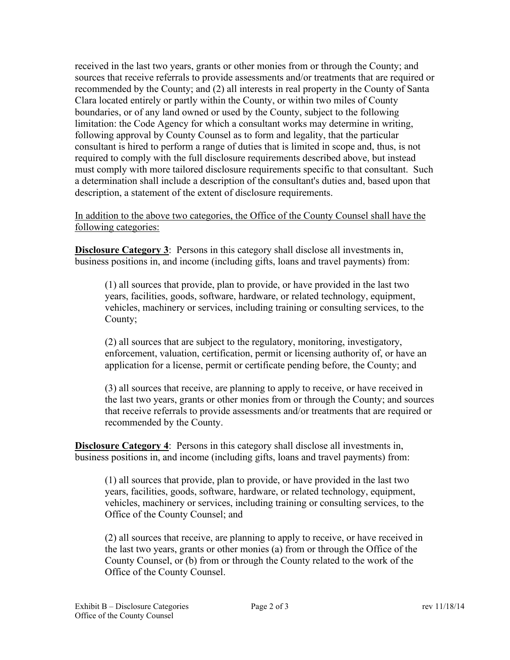received in the last two years, grants or other monies from or through the County; and sources that receive referrals to provide assessments and/or treatments that are required or recommended by the County; and (2) all interests in real property in the County of Santa Clara located entirely or partly within the County, or within two miles of County boundaries, or of any land owned or used by the County, subject to the following limitation: the Code Agency for which a consultant works may determine in writing, following approval by County Counsel as to form and legality, that the particular consultant is hired to perform a range of duties that is limited in scope and, thus, is not required to comply with the full disclosure requirements described above, but instead must comply with more tailored disclosure requirements specific to that consultant. Such a determination shall include a description of the consultant's duties and, based upon that description, a statement of the extent of disclosure requirements.

In addition to the above two categories, the Office of the County Counsel shall have the following categories:

**Disclosure Category 3**: Persons in this category shall disclose all investments in, business positions in, and income (including gifts, loans and travel payments) from:

(1) all sources that provide, plan to provide, or have provided in the last two years, facilities, goods, software, hardware, or related technology, equipment, vehicles, machinery or services, including training or consulting services, to the County;

(2) all sources that are subject to the regulatory, monitoring, investigatory, enforcement, valuation, certification, permit or licensing authority of, or have an application for a license, permit or certificate pending before, the County; and

(3) all sources that receive, are planning to apply to receive, or have received in the last two years, grants or other monies from or through the County; and sources that receive referrals to provide assessments and/or treatments that are required or recommended by the County.

**Disclosure Category 4**: Persons in this category shall disclose all investments in, business positions in, and income (including gifts, loans and travel payments) from:

(1) all sources that provide, plan to provide, or have provided in the last two years, facilities, goods, software, hardware, or related technology, equipment, vehicles, machinery or services, including training or consulting services, to the Office of the County Counsel; and

(2) all sources that receive, are planning to apply to receive, or have received in the last two years, grants or other monies (a) from or through the Office of the County Counsel, or (b) from or through the County related to the work of the Office of the County Counsel.